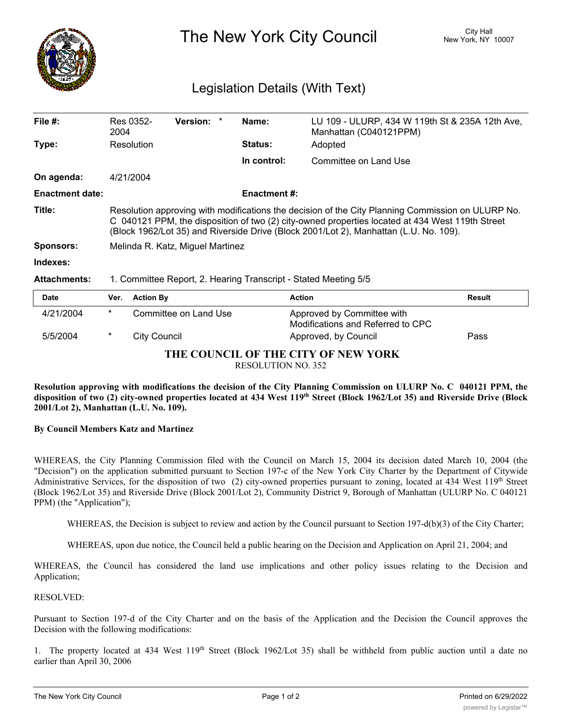

# The New York City Council New York, NY 10007

## Legislation Details (With Text)

| File $#$ :             | Res 0352-<br>2004                                                                                                                                                                                                                                                                             | <b>Version:</b> |  | Name:               | LU 109 - ULURP, 434 W 119th St & 235A 12th Ave,<br>Manhattan (C040121PPM) |  |  |
|------------------------|-----------------------------------------------------------------------------------------------------------------------------------------------------------------------------------------------------------------------------------------------------------------------------------------------|-----------------|--|---------------------|---------------------------------------------------------------------------|--|--|
| Type:                  | Resolution                                                                                                                                                                                                                                                                                    |                 |  | <b>Status:</b>      | Adopted                                                                   |  |  |
|                        |                                                                                                                                                                                                                                                                                               |                 |  | In control:         | Committee on Land Use                                                     |  |  |
| On agenda:             | 4/21/2004                                                                                                                                                                                                                                                                                     |                 |  |                     |                                                                           |  |  |
| <b>Enactment date:</b> |                                                                                                                                                                                                                                                                                               |                 |  | <b>Enactment #:</b> |                                                                           |  |  |
| Title:                 | Resolution approving with modifications the decision of the City Planning Commission on ULURP No.<br>C 040121 PPM, the disposition of two (2) city-owned properties located at 434 West 119th Street<br>(Block 1962/Lot 35) and Riverside Drive (Block 2001/Lot 2), Manhattan (L.U. No. 109). |                 |  |                     |                                                                           |  |  |
| <b>Sponsors:</b>       | Melinda R. Katz, Miguel Martinez                                                                                                                                                                                                                                                              |                 |  |                     |                                                                           |  |  |
| Indexes:               |                                                                                                                                                                                                                                                                                               |                 |  |                     |                                                                           |  |  |
| <b>Attachments:</b>    | 1. Committee Report, 2. Hearing Transcript - Stated Meeting 5/5                                                                                                                                                                                                                               |                 |  |                     |                                                                           |  |  |
| <b>Date</b>            | <b>Action By</b><br>Ver.                                                                                                                                                                                                                                                                      |                 |  | Action              | <b>Result</b>                                                             |  |  |

| Date                                |        | Ver. Action By        | Action                                                          | Result |  |  |  |
|-------------------------------------|--------|-----------------------|-----------------------------------------------------------------|--------|--|--|--|
| 4/21/2004                           | $\ast$ | Committee on Land Use | Approved by Committee with<br>Modifications and Referred to CPC |        |  |  |  |
| 5/5/2004                            |        | City Council          | Approved, by Council                                            | Pass   |  |  |  |
| THE COUNCH OF THE CITY OF NEW VODIZ |        |                       |                                                                 |        |  |  |  |

**THE COUNCIL OF THE CITY OF NEW YORK**

RESOLUTION NO. 352

Resolution approving with modifications the decision of the City Planning Commission on ULURP No. C 040121 PPM, the disposition of two (2) city-owned properties located at 434 West 119th Street (Block 1962/Lot 35) and Riverside Drive (Block **2001/Lot 2), Manhattan (L.U. No. 109).**

#### **By Council Members Katz and Martinez**

WHEREAS, the City Planning Commission filed with the Council on March 15, 2004 its decision dated March 10, 2004 (the "Decision") on the application submitted pursuant to Section 197-c of the New York City Charter by the Department of Citywide Administrative Services, for the disposition of two (2) city-owned properties pursuant to zoning, located at 434 West 119<sup>th</sup> Street (Block 1962/Lot 35) and Riverside Drive (Block 2001/Lot 2), Community District 9, Borough of Manhattan (ULURP No. C 040121 PPM) (the "Application");

WHEREAS, the Decision is subject to review and action by the Council pursuant to Section 197-d(b)(3) of the City Charter;

WHEREAS, upon due notice, the Council held a public hearing on the Decision and Application on April 21, 2004; and

WHEREAS, the Council has considered the land use implications and other policy issues relating to the Decision and Application;

#### RESOLVED:

Pursuant to Section 197-d of the City Charter and on the basis of the Application and the Decision the Council approves the Decision with the following modifications:

1. The property located at 434 West 119<sup>th</sup> Street (Block 1962/Lot 35) shall be withheld from public auction until a date no earlier than April 30, 2006